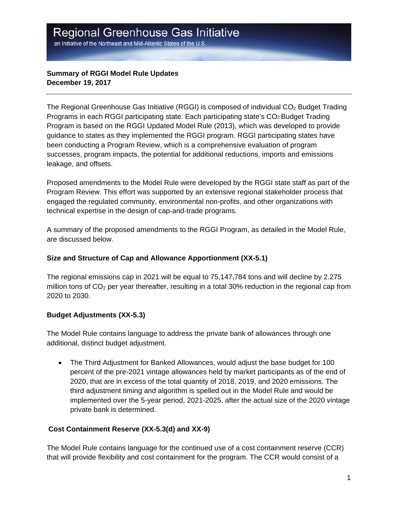an Initiative of the Northeast and Mid-Atlantic States of the U.S.

## **Summary of RGGI Model Rule Updates December 19, 2017**

The Regional Greenhouse Gas Initiative (RGGI) is composed of individual  $CO<sub>2</sub>$  Budget Trading Programs in each RGGI participating state. Each participating state's CO2 Budget Trading Program is based on the RGGI Updated Model Rule (2013), which was developed to provide guidance to states as they implemented the RGGI program. RGGI participating states have been conducting a Program Review, which is a comprehensive evaluation of program successes, program impacts, the potential for additional reductions, imports and emissions leakage, and offsets.

Proposed amendments to the Model Rule were developed by the RGGI state staff as part of the Program Review. This effort was supported by an extensive regional stakeholder process that engaged the regulated community, environmental non-profits, and other organizations with technical expertise in the design of cap-and-trade programs.

A summary of the proposed amendments to the RGGI Program, as detailed in the Model Rule, are discussed below.

### **Size and Structure of Cap and Allowance Apportionment (XX-5.1)**

The regional emissions cap in 2021 will be equal to 75,147,784 tons and will decline by 2.275 million tons of  $CO<sub>2</sub>$  per year thereafter, resulting in a total 30% reduction in the regional cap from 2020 to 2030.

### **Budget Adjustments (XX-5.3)**

The Model Rule contains language to address the private bank of allowances through one additional, distinct budget adjustment.

 The Third Adjustment for Banked Allowances, would adjust the base budget for 100 percent of the pre-2021 vintage allowances held by market participants as of the end of 2020, that are in excess of the total quantity of 2018, 2019, and 2020 emissions. The third adjustment timing and algorithm is spelled out in the Model Rule and would be implemented over the 5-year period, 2021-2025, after the actual size of the 2020 vintage private bank is determined.

# **Cost Containment Reserve (XX-5.3(d) and XX-9)**

The Model Rule contains language for the continued use of a cost containment reserve (CCR) that will provide flexibility and cost containment for the program. The CCR would consist of a